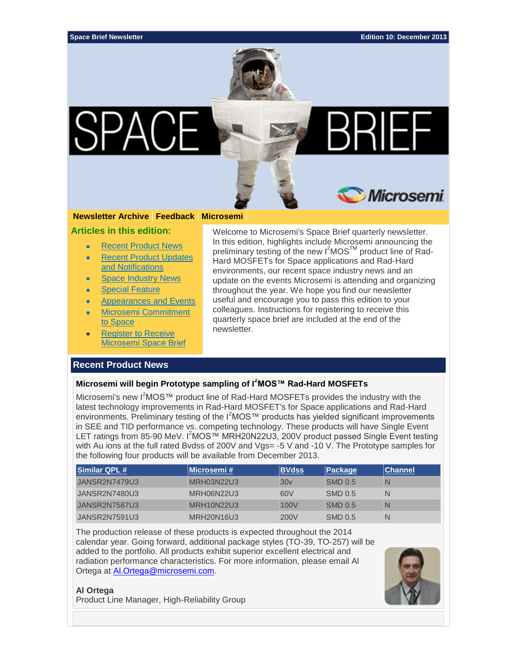

### **[Newsletter](http://soc.microsemi.com/SpaceNews/) Archive [Feedback](mailto:spacebrief@microsemi.com?subject=SpaceBrief%20December%202013) [Microsemi](http://www.microsemi.com/applications/space)**

**Articles in this edition:**

- [Recent Product News](#page-0-0)
- [Recent Product Updates](#page-1-0)  [and Notifications](#page-1-0)
- [Space Industry News](#page-2-0)
- [Special Feature](#page-4-0)
- [Appearances and Events](#page-6-0)
- [Microsemi Commitment](#page-7-0)  [to Space](#page-7-0)
- [Register to Receive](#page-8-0)  [Microsemi Space Brief](#page-8-0)

#### Welcome to Microsemi's Space Brief quarterly newsletter. In this edition, highlights include Microsemi announcing the preliminary testing of the new I<sup>2</sup>MOS<sup>™</sup> product line of Rad-Hard MOSFETs for Space applications and Rad-Hard environments, our recent space industry news and an update on the events Microsemi is attending and organizing throughout the year. We hope you find our newsletter useful and encourage you to pass this edition to your colleagues. Instructions for registering to receive this quarterly space brief are included at the end of the newsletter.

# <span id="page-0-0"></span>**Recent Product News**

#### **Microsemi will begin Prototype sampling of I<sup>2</sup>MOS™ Rad-Hard MOSFETs**

Microsemi's new I<sup>2</sup>MOS™ product line of Rad-Hard MOSFETs provides the industry with the latest technology improvements in Rad-Hard MOSFET's for Space applications and Rad-Hard environments. Preliminary testing of the I<sup>2</sup>MOS™ products has yielded significant improvements in SEE and TID performance vs. competing technology. These products will have Single Event LET ratings from 85-90 MeV. I<sup>2</sup>MOS™ MRH20N22U3, 200V product passed Single Event testing with Au ions at the full rated Bvdss of 200V and Vgs= -5 V and -10 V. The Prototype samples for the following four products will be available from December 2013.

| Similar QPL #        | ∣Microsemi #⊹     | <b>BVdss</b>     | <b>Package</b> | <b>Channel</b> |
|----------------------|-------------------|------------------|----------------|----------------|
| JANSR2N7479U3        | <b>MRH03N22U3</b> | 30v              | <b>SMD 0.5</b> | N              |
| JANSR2N7480U3        | MRH06N22U3        | 60V              | SMD 0.5        | N              |
| <b>JANSR2N7587U3</b> | <b>MRH10N22U3</b> | 100 <sub>V</sub> | <b>SMD 0.5</b> | N              |
| JANSR2N7591U3        | <b>MRH20N16U3</b> | 200V             | SMD 0.5        | N              |

The production release of these products is expected throughout the 2014 calendar year. Going forward, additional package styles (TO-39, TO-257) will be added to the portfolio. All products exhibit superior excellent electrical and radiation performance characteristics. For more information, please email Al Ortega at **Al.Ortega@microsemi.com.** 

#### **Al Ortega**

Product Line Manager, High-Reliability Group

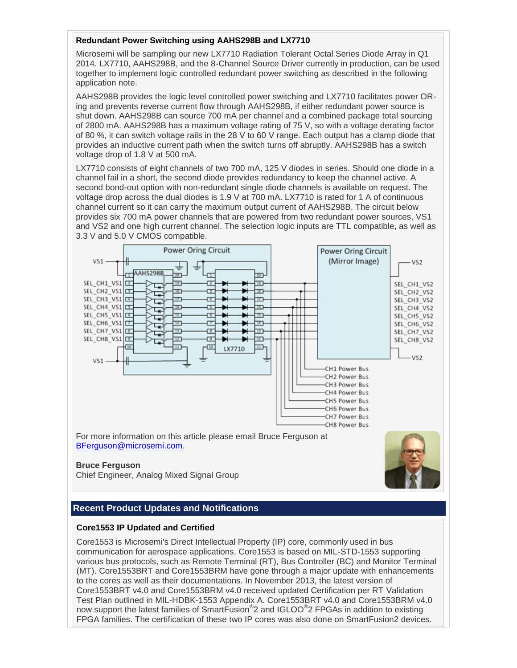# **Redundant Power Switching using AAHS298B and LX7710**

Microsemi will be sampling our new LX7710 Radiation Tolerant Octal Series Diode Array in Q1 2014. LX7710, AAHS298B, and the 8-Channel Source Driver currently in production, can be used together to implement logic controlled redundant power switching as described in the following application note.

AAHS298B provides the logic level controlled power switching and LX7710 facilitates power ORing and prevents reverse current flow through AAHS298B, if either redundant power source is shut down. AAHS298B can source 700 mA per channel and a combined package total sourcing of 2800 mA. AAHS298B has a maximum voltage rating of 75 V, so with a voltage derating factor of 80 %, it can switch voltage rails in the 28 V to 60 V range. Each output has a clamp diode that provides an inductive current path when the switch turns off abruptly. AAHS298B has a switch voltage drop of 1.8 V at 500 mA.

LX7710 consists of eight channels of two 700 mA, 125 V diodes in series. Should one diode in a channel fail in a short, the second diode provides redundancy to keep the channel active. A second bond-out option with non-redundant single diode channels is available on request. The voltage drop across the dual diodes is 1.9 V at 700 mA. LX7710 is rated for 1 A of continuous channel current so it can carry the maximum output current of AAHS298B. The circuit below provides six 700 mA power channels that are powered from two redundant power sources, VS1 and VS2 and one high current channel. The selection logic inputs are TTL compatible, as well as 3.3 V and 5.0 V CMOS compatible.



Chief Engineer, Analog Mixed Signal Group

# <span id="page-1-0"></span>**Recent Product Updates and Notifications**

# **Core1553 IP Updated and Certified**

Core1553 is Microsemi's Direct Intellectual Property (IP) core, commonly used in bus communication for aerospace applications. Core1553 is based on MIL-STD-1553 supporting various bus protocols, such as Remote Terminal (RT), Bus Controller (BC) and Monitor Terminal (MT). Core1553BRT and Core1553BRM have gone through a major update with enhancements to the cores as well as their documentations. In November 2013, the latest version of Core1553BRT v4.0 and Core1553BRM v4.0 received updated Certification per RT Validation Test Plan outlined in MIL-HDBK-1553 Appendix A. Core1553BRT v4.0 and Core1553BRM v4.0 now support the latest families of SmartFusion<sup>®</sup>2 and IGLOO<sup>®</sup>2 FPGAs in addition to existing FPGA families. The certification of these two IP cores was also done on SmartFusion2 devices.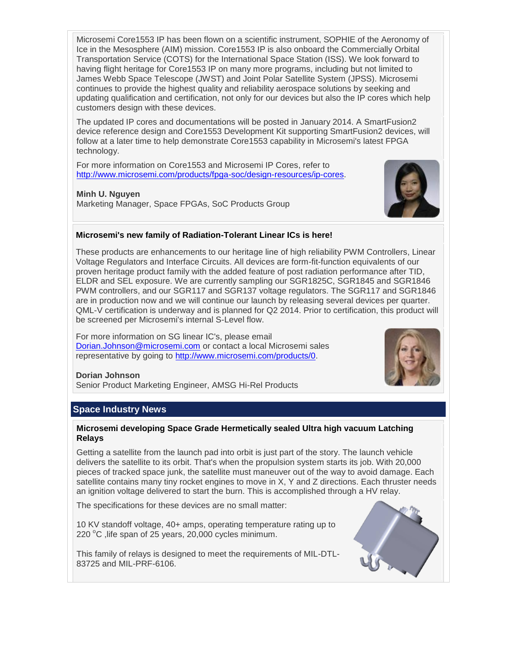Microsemi Core1553 IP has been flown on a scientific instrument, SOPHIE of the Aeronomy of Ice in the Mesosphere (AIM) mission. Core1553 IP is also onboard the Commercially Orbital Transportation Service (COTS) for the International Space Station (ISS). We look forward to having flight heritage for Core1553 IP on many more programs, including but not limited to James Webb Space Telescope (JWST) and Joint Polar Satellite System (JPSS). Microsemi continues to provide the highest quality and reliability aerospace solutions by seeking and updating qualification and certification, not only for our devices but also the IP cores which help customers design with these devices.

The updated IP cores and documentations will be posted in January 2014. A SmartFusion2 device reference design and Core1553 Development Kit supporting SmartFusion2 devices, will follow at a later time to help demonstrate Core1553 capability in Microsemi's latest FPGA technology.

For more information on Core1553 and Microsemi IP Cores, refer to [http://www.microsemi.com/products/fpga-soc/design-resources/ip-cores.](http://www.microsemi.com/products/fpga-soc/design-resources/ip-cores)

# **Minh U. Nguyen**

Marketing Manager, Space FPGAs, SoC Products Group



# **Microsemi's new family of Radiation-Tolerant Linear ICs is here!**

These products are enhancements to our heritage line of high reliability PWM Controllers, Linear Voltage Regulators and Interface Circuits. All devices are form-fit-function equivalents of our proven heritage product family with the added feature of post radiation performance after TID, ELDR and SEL exposure. We are currently sampling our SGR1825C, SGR1845 and SGR1846 PWM controllers, and our SGR117 and SGR137 voltage regulators. The SGR117 and SGR1846 are in production now and we will continue our launch by releasing several devices per quarter. QML-V certification is underway and is planned for Q2 2014. Prior to certification, this product will be screened per Microsemi's internal S-Level flow.

For more information on SG linear IC's, please email [Dorian.Johnson@microsemi.com](mailto:Dorian.Johnson@microsemi.com) or contact a local Microsemi sales representative by going to [http://www.microsemi.com/products/0.](http://www.microsemi.com/products/0)



# **Dorian Johnson**

Senior Product Marketing Engineer, AMSG Hi-Rel Products

# <span id="page-2-0"></span>**Space Industry News**

### **Microsemi developing Space Grade Hermetically sealed Ultra high vacuum Latching Relays**

Getting a satellite from the launch pad into orbit is just part of the story. The launch vehicle delivers the satellite to its orbit. That's when the propulsion system starts its job. With 20,000 pieces of tracked space junk, the satellite must maneuver out of the way to avoid damage. Each satellite contains many tiny rocket engines to move in X, Y and Z directions. Each thruster needs an ignition voltage delivered to start the burn. This is accomplished through a HV relay.

The specifications for these devices are no small matter:

10 KV standoff voltage, 40+ amps, operating temperature rating up to 220  $^{\circ}$ C , life span of 25 years, 20,000 cycles minimum.

This family of relays is designed to meet the requirements of MIL-DTL-83725 and MIL-PRF-6106.

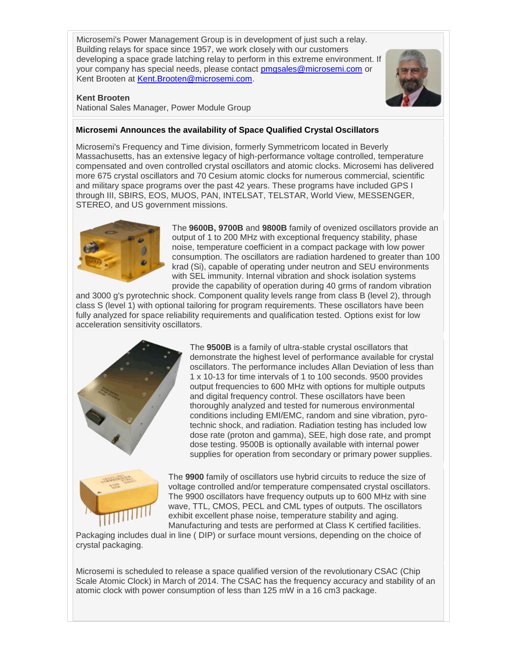Microsemi's Power Management Group is in development of just such a relay. Building relays for space since 1957, we work closely with our customers developing a space grade latching relay to perform in this extreme environment. If your company has special needs, please contact [pmgsales@microsemi.com](mailto:pmgsales@microsemi.com) or Kent Brooten at [Kent.Brooten@microsemi.com.](mailto:Kent.Brooten@microsemi.com)



### **Kent Brooten**

National Sales Manager, Power Module Group

# **Microsemi Announces the availability of Space Qualified Crystal Oscillators**

Microsemi's Frequency and Time division, formerly Symmetricom located in Beverly Massachusetts, has an extensive legacy of high-performance voltage controlled, temperature compensated and oven controlled crystal oscillators and atomic clocks. Microsemi has delivered more 675 crystal oscillators and 70 Cesium atomic clocks for numerous commercial, scientific and military space programs over the past 42 years. These programs have included GPS I through III, SBIRS, EOS, MUOS, PAN, INTELSAT, TELSTAR, World View, MESSENGER, STEREO, and US government missions.



The **9600B, 9700B** and **9800B** family of ovenized oscillators provide an output of 1 to 200 MHz with exceptional frequency stability, phase noise, temperature coefficient in a compact package with low power consumption. The oscillators are radiation hardened to greater than 100 krad (Si), capable of operating under neutron and SEU environments with SEL immunity. Internal vibration and shock isolation systems provide the capability of operation during 40 grms of random vibration

and 3000 g's pyrotechnic shock. Component quality levels range from class B (level 2), through class S (level 1) with optional tailoring for program requirements. These oscillators have been fully analyzed for space reliability requirements and qualification tested. Options exist for low acceleration sensitivity oscillators.



The **9500B** is a family of ultra-stable crystal oscillators that demonstrate the highest level of performance available for crystal oscillators. The performance includes Allan Deviation of less than 1 x 10-13 for time intervals of 1 to 100 seconds. 9500 provides output frequencies to 600 MHz with options for multiple outputs and digital frequency control. These oscillators have been thoroughly analyzed and tested for numerous environmental conditions including EMI/EMC, random and sine vibration, pyrotechnic shock, and radiation. Radiation testing has included low dose rate (proton and gamma), SEE, high dose rate, and prompt dose testing. 9500B is optionally available with internal power supplies for operation from secondary or primary power supplies.



The **9900** family of oscillators use hybrid circuits to reduce the size of voltage controlled and/or temperature compensated crystal oscillators. The 9900 oscillators have frequency outputs up to 600 MHz with sine wave, TTL, CMOS, PECL and CML types of outputs. The oscillators exhibit excellent phase noise, temperature stability and aging. Manufacturing and tests are performed at Class K certified facilities.

Packaging includes dual in line ( DIP) or surface mount versions, depending on the choice of crystal packaging.

Microsemi is scheduled to release a space qualified version of the revolutionary CSAC (Chip Scale Atomic Clock) in March of 2014. The CSAC has the frequency accuracy and stability of an atomic clock with power consumption of less than 125 mW in a 16 cm3 package.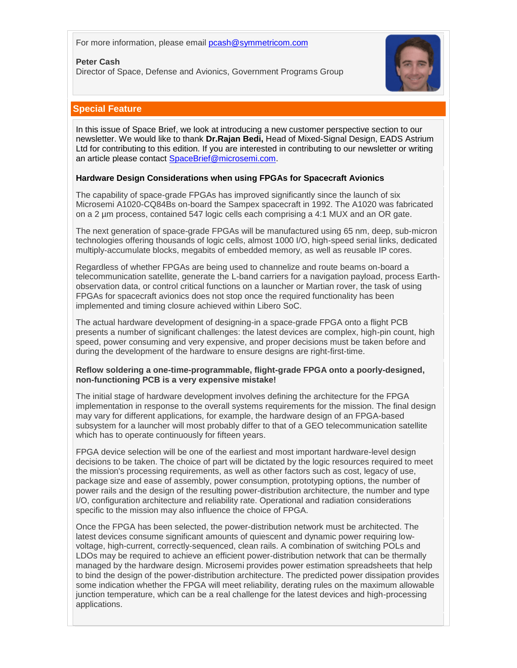For more information, please email [pcash@symmetricom.com](mailto:pcash@symmetricom.com)

#### **Peter Cash**

Director of Space, Defense and Avionics, Government Programs Group



# <span id="page-4-0"></span>**Special Feature**

In this issue of Space Brief, we look at introducing a new customer perspective section to our newsletter. We would like to thank **Dr.Rajan Bedi,** Head of Mixed-Signal Design, EADS Astrium Ltd for contributing to this edition. If you are interested in contributing to our newsletter or writing an article please contact [SpaceBrief@microsemi.com.](mailto:SpaceBrief@microsemi.com)

### **Hardware Design Considerations when using FPGAs for Spacecraft Avionics**

The capability of space-grade FPGAs has improved significantly since the launch of six Microsemi A1020-CQ84Bs on-board the Sampex spacecraft in 1992. The A1020 was fabricated on a 2 µm process, contained 547 logic cells each comprising a 4:1 MUX and an OR gate.

The next generation of space-grade FPGAs will be manufactured using 65 nm, deep, sub-micron technologies offering thousands of logic cells, almost 1000 I/O, high-speed serial links, dedicated multiply-accumulate blocks, megabits of embedded memory, as well as reusable IP cores.

Regardless of whether FPGAs are being used to channelize and route beams on-board a telecommunication satellite, generate the L-band carriers for a navigation payload, process Earthobservation data, or control critical functions on a launcher or Martian rover, the task of using FPGAs for spacecraft avionics does not stop once the required functionality has been implemented and timing closure achieved within Libero SoC.

The actual hardware development of designing-in a space-grade FPGA onto a flight PCB presents a number of significant challenges: the latest devices are complex, high-pin count, high speed, power consuming and very expensive, and proper decisions must be taken before and during the development of the hardware to ensure designs are right-first-time.

#### **Reflow soldering a one-time-programmable, flight-grade FPGA onto a poorly-designed, non-functioning PCB is a very expensive mistake!**

The initial stage of hardware development involves defining the architecture for the FPGA implementation in response to the overall systems requirements for the mission. The final design may vary for different applications*,* for example, the hardware design of an FPGA-based subsystem for a launcher will most probably differ to that of a GEO telecommunication satellite which has to operate continuously for fifteen years.

FPGA device selection will be one of the earliest and most important hardware-level design decisions to be taken. The choice of part will be dictated by the logic resources required to meet the mission's processing requirements, as well as other factors such as cost, legacy of use, package size and ease of assembly, power consumption, prototyping options, the number of power rails and the design of the resulting power-distribution architecture, the number and type I/O, configuration architecture and reliability rate. Operational and radiation considerations specific to the mission may also influence the choice of FPGA.

Once the FPGA has been selected, the power-distribution network must be architected. The latest devices consume significant amounts of quiescent and dynamic power requiring lowvoltage, high-current, correctly-sequenced, clean rails. A combination of switching POLs and LDOs may be required to achieve an efficient power-distribution network that can be thermally managed by the hardware design. Microsemi provides power estimation spreadsheets that help to bind the design of the power-distribution architecture. The predicted power dissipation provides some indication whether the FPGA will meet reliability, derating rules on the maximum allowable junction temperature, which can be a real challenge for the latest devices and high-processing applications.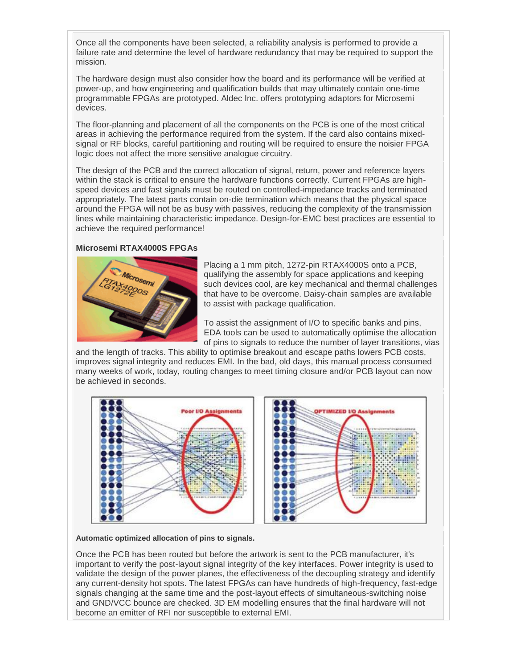Once all the components have been selected, a reliability analysis is performed to provide a failure rate and determine the level of hardware redundancy that may be required to support the mission.

The hardware design must also consider how the board and its performance will be verified at power-up, and how engineering and qualification builds that may ultimately contain one-time programmable FPGAs are prototyped. Aldec Inc. offers prototyping adaptors for Microsemi devices.

The floor-planning and placement of all the components on the PCB is one of the most critical areas in achieving the performance required from the system. If the card also contains mixedsignal or RF blocks, careful partitioning and routing will be required to ensure the noisier FPGA logic does not affect the more sensitive analogue circuitry.

The design of the PCB and the correct allocation of signal, return, power and reference layers within the stack is critical to ensure the hardware functions correctly. Current FPGAs are highspeed devices and fast signals must be routed on controlled-impedance tracks and terminated appropriately. The latest parts contain on-die termination which means that the physical space around the FPGA will not be as busy with passives, reducing the complexity of the transmission lines while maintaining characteristic impedance. Design-for-EMC best practices are essential to achieve the required performance!

### **Microsemi RTAX4000S FPGAs**



Placing a 1 mm pitch, 1272-pin RTAX4000S onto a PCB, qualifying the assembly for space applications and keeping such devices cool, are key mechanical and thermal challenges that have to be overcome. Daisy-chain samples are available to assist with package qualification.

To assist the assignment of I/O to specific banks and pins, EDA tools can be used to automatically optimise the allocation of pins to signals to reduce the number of layer transitions, vias

and the length of tracks. This ability to optimise breakout and escape paths lowers PCB costs, improves signal integrity and reduces EMI. In the bad, old days, this manual process consumed many weeks of work, today, routing changes to meet timing closure and/or PCB layout can now be achieved in seconds.



#### **Automatic optimized allocation of pins to signals.**

Once the PCB has been routed but before the artwork is sent to the PCB manufacturer, it's important to verify the post-layout signal integrity of the key interfaces. Power integrity is used to validate the design of the power planes, the effectiveness of the decoupling strategy and identify any current-density hot spots. The latest FPGAs can have hundreds of high-frequency, fast-edge signals changing at the same time and the post-layout effects of simultaneous-switching noise and GND/VCC bounce are checked. 3D EM modelling ensures that the final hardware will not become an emitter of RFI nor susceptible to external EMI.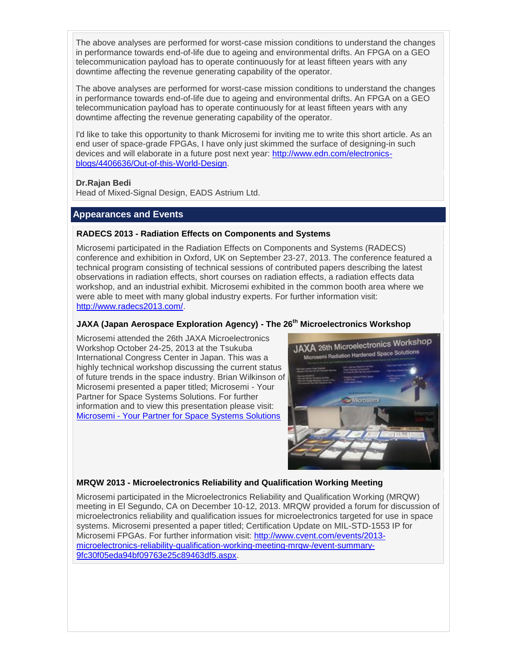The above analyses are performed for worst-case mission conditions to understand the changes in performance towards end-of-life due to ageing and environmental drifts. An FPGA on a GEO telecommunication payload has to operate continuously for at least fifteen years with any downtime affecting the revenue generating capability of the operator.

The above analyses are performed for worst-case mission conditions to understand the changes in performance towards end-of-life due to ageing and environmental drifts. An FPGA on a GEO telecommunication payload has to operate continuously for at least fifteen years with any downtime affecting the revenue generating capability of the operator.

I'd like to take this opportunity to thank Microsemi for inviting me to write this short article. As an end user of space-grade FPGAs, I have only just skimmed the surface of designing-in such devices and will elaborate in a future post next year: [http://www.edn.com/electronics](http://www.edn.com/electronics-blogs/4406636/Out-of-this-World-Design)[blogs/4406636/Out-of-this-World-Design.](http://www.edn.com/electronics-blogs/4406636/Out-of-this-World-Design)

# **Dr.Rajan Bedi**

Head of Mixed-Signal Design, EADS Astrium Ltd.

# <span id="page-6-0"></span>**Appearances and Events**

### **RADECS 2013 - Radiation Effects on Components and Systems**

Microsemi participated in the Radiation Effects on Components and Systems (RADECS) conference and exhibition in Oxford, UK on September 23-27, 2013. The conference featured a technical program consisting of technical sessions of contributed papers describing the latest observations in radiation effects, short courses on radiation effects, a radiation effects data workshop, and an industrial exhibit. Microsemi exhibited in the common booth area where we were able to meet with many global industry experts. For further information visit: [http://www.radecs2013.com/.](http://www.radecs2013.com/)

# **JAXA (Japan Aerospace Exploration Agency) - The 26th Microelectronics Workshop**

Microsemi attended the 26th JAXA Microelectronics Workshop October 24-25, 2013 at the Tsukuba International Congress Center in Japan. This was a highly technical workshop discussing the current status of future trends in the space industry. Brian Wilkinson of Microsemi presented a paper titled; Microsemi - Your Partner for Space Systems Solutions. For further information and to view this presentation please visit: Microsemi - [Your Partner for Space Systems Solutions](https://eeepitnl.tksc.jaxa.jp/mews/jp/26th/data/1_16.pdf)



# **MRQW 2013 - Microelectronics Reliability and Qualification Working Meeting**

Microsemi participated in the Microelectronics Reliability and Qualification Working (MRQW) meeting in El Segundo, CA on December 10-12, 2013. MRQW provided a forum for discussion of microelectronics reliability and qualification issues for microelectronics targeted for use in space systems. Microsemi presented a paper titled; Certification Update on MIL-STD-1553 IP for Microsemi FPGAs. For further information visit: [http://www.cvent.com/events/2013](http://www.cvent.com/events/2013-microelectronics-reliability-qualification-working-meeting-mrqw-/event-summary-9fc30f05eda94bf09763e25c89463df5.aspx) [microelectronics-reliability-qualification-working-meeting-mrqw-/event-summary-](http://www.cvent.com/events/2013-microelectronics-reliability-qualification-working-meeting-mrqw-/event-summary-9fc30f05eda94bf09763e25c89463df5.aspx)[9fc30f05eda94bf09763e25c89463df5.aspx.](http://www.cvent.com/events/2013-microelectronics-reliability-qualification-working-meeting-mrqw-/event-summary-9fc30f05eda94bf09763e25c89463df5.aspx)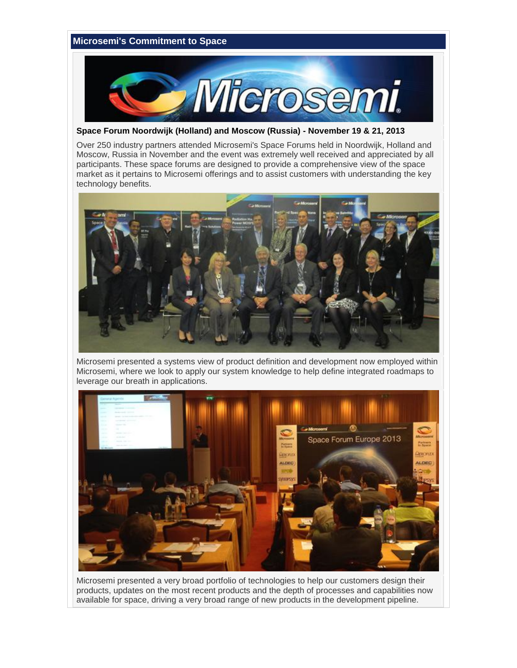# <span id="page-7-0"></span>**Microsemi's Commitment to Space**  Microsemi.

**Space Forum Noordwijk (Holland) and Moscow (Russia) - November 19 & 21, 2013**

Over 250 industry partners attended Microsemi's Space Forums held in Noordwijk, Holland and Moscow, Russia in November and the event was extremely well received and appreciated by all participants. These space forums are designed to provide a comprehensive view of the space market as it pertains to Microsemi offerings and to assist customers with understanding the key technology benefits.



Microsemi presented a systems view of product definition and development now employed within Microsemi, where we look to apply our system knowledge to help define integrated roadmaps to leverage our breath in applications.



Microsemi presented a very broad portfolio of technologies to help our customers design their products, updates on the most recent products and the depth of processes and capabilities now available for space, driving a very broad range of new products in the development pipeline.